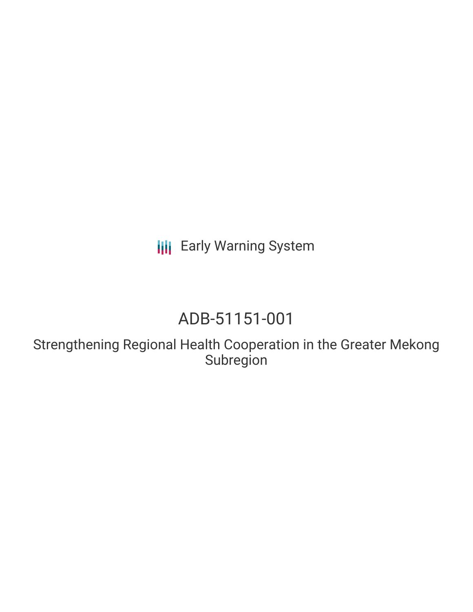**III** Early Warning System

# ADB-51151-001

Strengthening Regional Health Cooperation in the Greater Mekong Subregion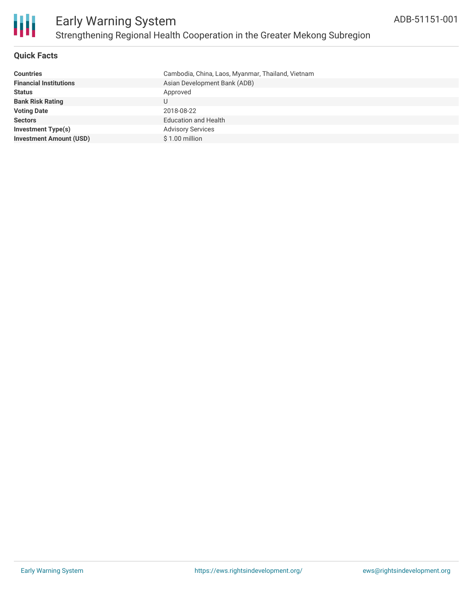

### **Quick Facts**

| <b>Countries</b>               | Cambodia, China, Laos, Myanmar, Thailand, Vietnam |
|--------------------------------|---------------------------------------------------|
| <b>Financial Institutions</b>  | Asian Development Bank (ADB)                      |
| <b>Status</b>                  | Approved                                          |
| <b>Bank Risk Rating</b>        |                                                   |
| <b>Voting Date</b>             | 2018-08-22                                        |
| <b>Sectors</b>                 | <b>Education and Health</b>                       |
| <b>Investment Type(s)</b>      | <b>Advisory Services</b>                          |
| <b>Investment Amount (USD)</b> | $$1.00$ million                                   |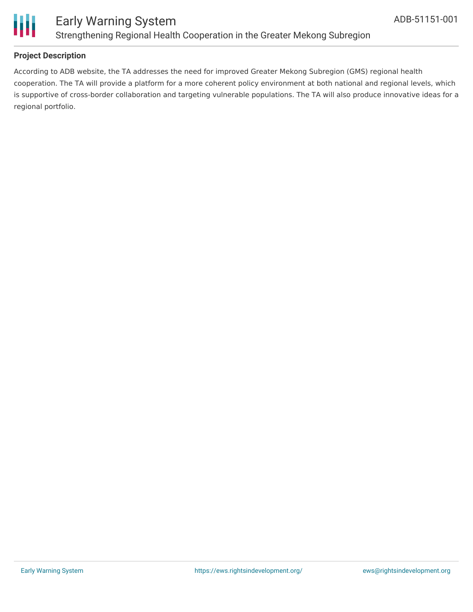

### Early Warning System Strengthening Regional Health Cooperation in the Greater Mekong Subregion

### **Project Description**

According to ADB website, the TA addresses the need for improved Greater Mekong Subregion (GMS) regional health cooperation. The TA will provide a platform for a more coherent policy environment at both national and regional levels, which is supportive of cross-border collaboration and targeting vulnerable populations. The TA will also produce innovative ideas for a regional portfolio.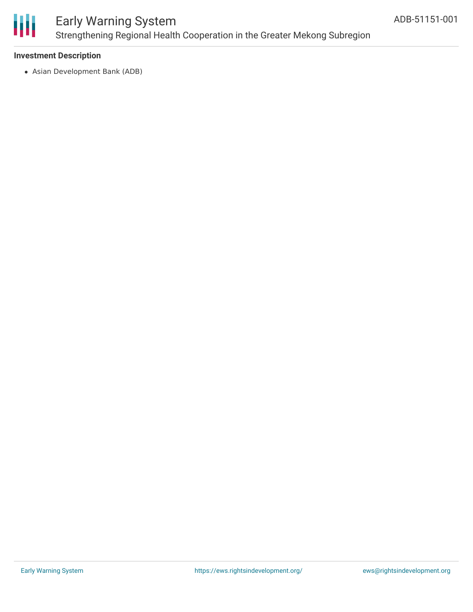

### Early Warning System Strengthening Regional Health Cooperation in the Greater Mekong Subregion

### **Investment Description**

Asian Development Bank (ADB)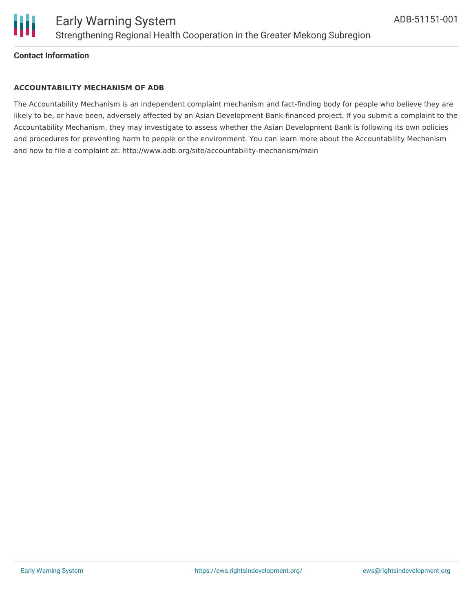

### Early Warning System Strengthening Regional Health Cooperation in the Greater Mekong Subregion

### **Contact Information**

Ш

#### **ACCOUNTABILITY MECHANISM OF ADB**

The Accountability Mechanism is an independent complaint mechanism and fact-finding body for people who believe they are likely to be, or have been, adversely affected by an Asian Development Bank-financed project. If you submit a complaint to the Accountability Mechanism, they may investigate to assess whether the Asian Development Bank is following its own policies and procedures for preventing harm to people or the environment. You can learn more about the Accountability Mechanism and how to file a complaint at: http://www.adb.org/site/accountability-mechanism/main